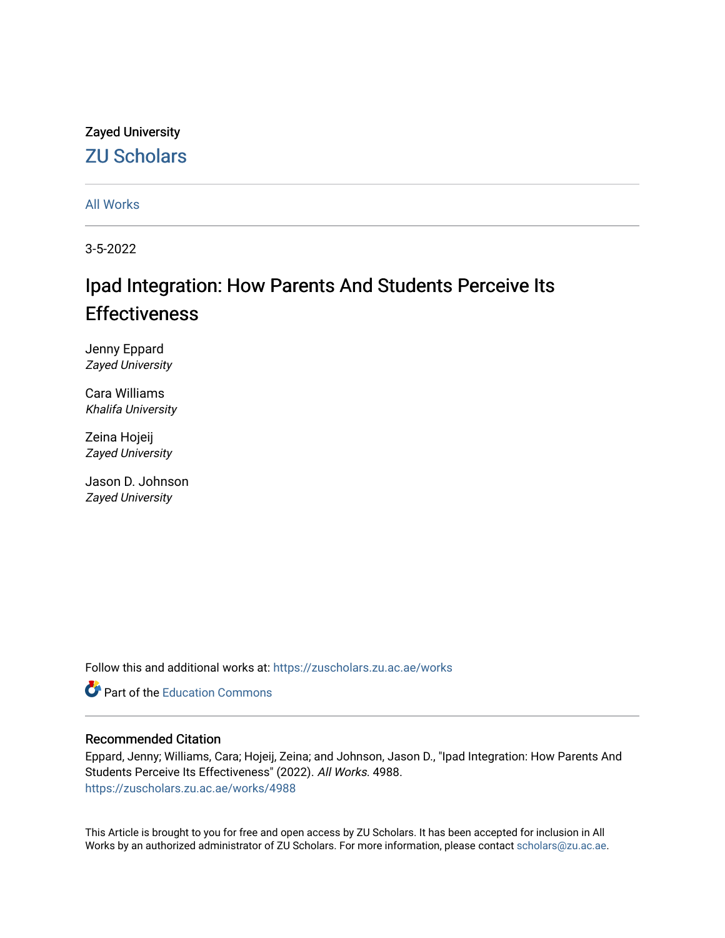# Zayed University [ZU Scholars](https://zuscholars.zu.ac.ae/)

[All Works](https://zuscholars.zu.ac.ae/works)

3-5-2022

# Ipad Integration: How Parents And Students Perceive Its **Effectiveness**

Jenny Eppard Zayed University

Cara Williams Khalifa University

Zeina Hojeij Zayed University

Jason D. Johnson Zayed University

Follow this and additional works at: [https://zuscholars.zu.ac.ae/works](https://zuscholars.zu.ac.ae/works?utm_source=zuscholars.zu.ac.ae%2Fworks%2F4988&utm_medium=PDF&utm_campaign=PDFCoverPages)

**C** Part of the [Education Commons](http://network.bepress.com/hgg/discipline/784?utm_source=zuscholars.zu.ac.ae%2Fworks%2F4988&utm_medium=PDF&utm_campaign=PDFCoverPages)

#### Recommended Citation

Eppard, Jenny; Williams, Cara; Hojeij, Zeina; and Johnson, Jason D., "Ipad Integration: How Parents And Students Perceive Its Effectiveness" (2022). All Works. 4988. [https://zuscholars.zu.ac.ae/works/4988](https://zuscholars.zu.ac.ae/works/4988?utm_source=zuscholars.zu.ac.ae%2Fworks%2F4988&utm_medium=PDF&utm_campaign=PDFCoverPages)

This Article is brought to you for free and open access by ZU Scholars. It has been accepted for inclusion in All Works by an authorized administrator of ZU Scholars. For more information, please contact [scholars@zu.ac.ae](mailto:scholars@zu.ac.ae).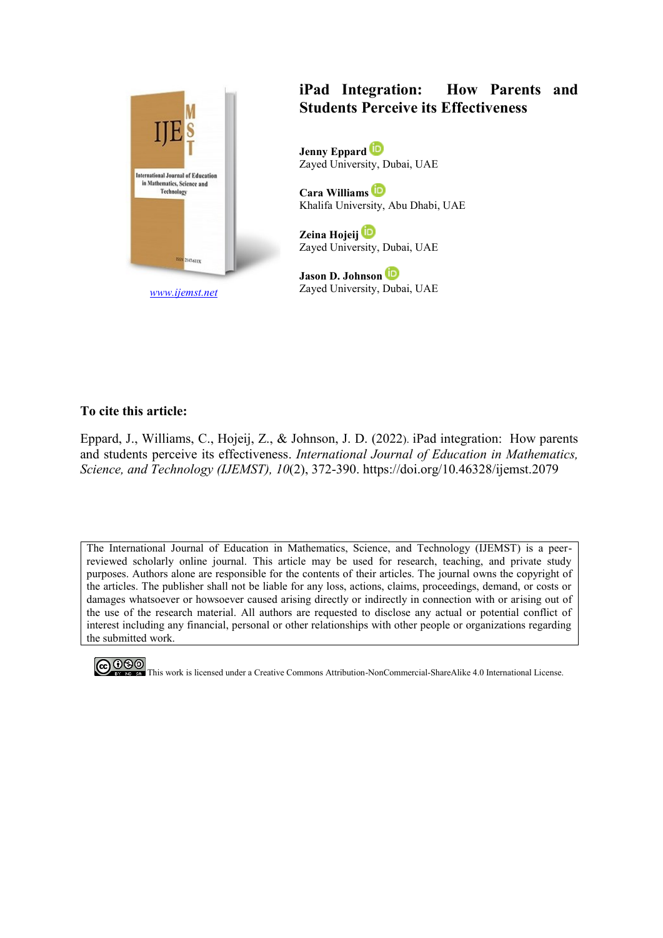

*[www.ijemst.net](http://www.ijemst.net/)*

# **iPad Integration: How Parents and Students Perceive its Effectiveness**

**Jenny Eppard**  Zayed University, Dubai, UAE

**Cara Williams** Khalifa University, Abu Dhabi, UAE

**Zeina Hojeij** Zayed University, Dubai, UAE

**Jason D. Johnson** Zayed University, Dubai, UAE

#### **To cite this article:**

Eppard, J., Williams, C., Hojeij, Z., & Johnson, J. D. (2022). iPad integration: How parents and students perceive its effectiveness. *International Journal of Education in Mathematics, Science, and Technology (IJEMST), 10*(2), 372-390. https://doi.org/10.46328/ijemst.2079

The International Journal of Education in Mathematics, Science, and Technology (IJEMST) is a peerreviewed scholarly online journal. This article may be used for research, teaching, and private study purposes. Authors alone are responsible for the contents of their articles. The journal owns the copyright of the articles. The publisher shall not be liable for any loss, actions, claims, proceedings, demand, or costs or damages whatsoever or howsoever caused arising directly or indirectly in connection with or arising out of the use of the research material. All authors are requested to disclose any actual or potential conflict of interest including any financial, personal or other relationships with other people or organizations regarding the submitted work.

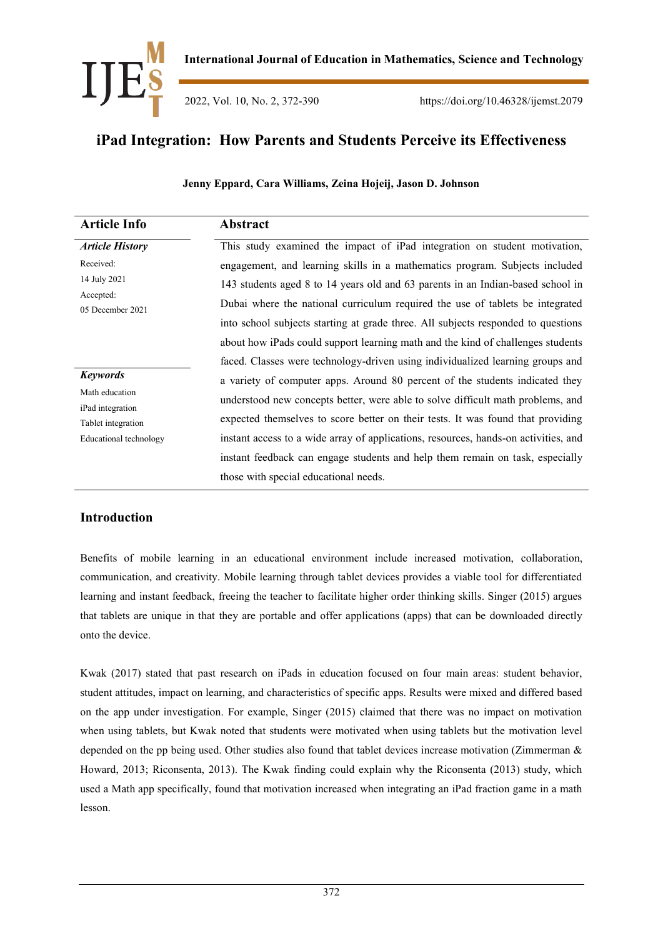

2022, Vol. 10, No. 2, 372-390 https://doi.org/10.46328/ijemst.2079

# **iPad Integration: How Parents and Students Perceive its Effectiveness**

#### **Jenny Eppard, Cara Williams, Zeina Hojeij, Jason D. Johnson**

| <b>Article Info</b>                    | Abstract                                                                            |
|----------------------------------------|-------------------------------------------------------------------------------------|
| <b>Article History</b>                 | This study examined the impact of iPad integration on student motivation,           |
| Received:                              | engagement, and learning skills in a mathematics program. Subjects included         |
| 14 July 2021                           | 143 students aged 8 to 14 years old and 63 parents in an Indian-based school in     |
| Accepted:<br>05 December 2021          | Dubai where the national curriculum required the use of tablets be integrated       |
|                                        | into school subjects starting at grade three. All subjects responded to questions   |
|                                        | about how iPads could support learning math and the kind of challenges students     |
|                                        | faced. Classes were technology-driven using individualized learning groups and      |
| <b>Keywords</b>                        | a variety of computer apps. Around 80 percent of the students indicated they        |
| Math education                         | understood new concepts better, were able to solve difficult math problems, and     |
| iPad integration<br>Tablet integration | expected themselves to score better on their tests. It was found that providing     |
| Educational technology                 | instant access to a wide array of applications, resources, hands-on activities, and |
|                                        | instant feedback can engage students and help them remain on task, especially       |
|                                        | those with special educational needs.                                               |

### **Introduction**

Benefits of mobile learning in an educational environment include increased motivation, collaboration, communication, and creativity. Mobile learning through tablet devices provides a viable tool for differentiated learning and instant feedback, freeing the teacher to facilitate higher order thinking skills. Singer (2015) argues that tablets are unique in that they are portable and offer applications (apps) that can be downloaded directly onto the device.

Kwak (2017) stated that past research on iPads in education focused on four main areas: student behavior, student attitudes, impact on learning, and characteristics of specific apps. Results were mixed and differed based on the app under investigation. For example, Singer (2015) claimed that there was no impact on motivation when using tablets, but Kwak noted that students were motivated when using tablets but the motivation level depended on the pp being used. Other studies also found that tablet devices increase motivation (Zimmerman & Howard, 2013; Riconsenta, 2013). The Kwak finding could explain why the Riconsenta (2013) study, which used a Math app specifically, found that motivation increased when integrating an iPad fraction game in a math lesson.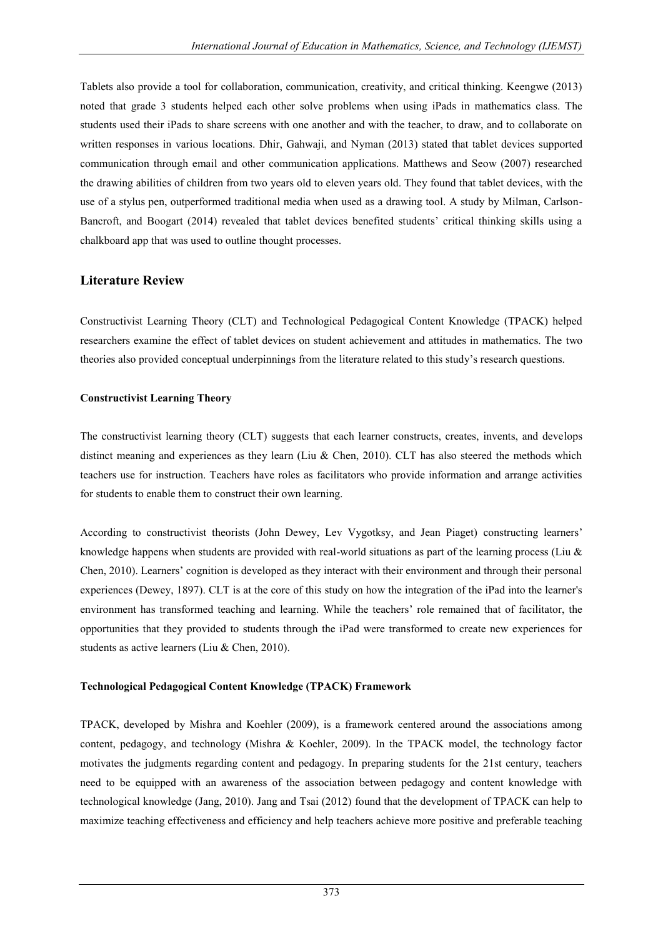Tablets also provide a tool for collaboration, communication, creativity, and critical thinking. Keengwe (2013) noted that grade 3 students helped each other solve problems when using iPads in mathematics class. The students used their iPads to share screens with one another and with the teacher, to draw, and to collaborate on written responses in various locations. Dhir, Gahwaji, and Nyman (2013) stated that tablet devices supported communication through email and other communication applications. Matthews and Seow (2007) researched the drawing abilities of children from two years old to eleven years old. They found that tablet devices, with the use of a stylus pen, outperformed traditional media when used as a drawing tool. A study by Milman, Carlson-Bancroft, and Boogart (2014) revealed that tablet devices benefited students" critical thinking skills using a chalkboard app that was used to outline thought processes.

## **Literature Review**

Constructivist Learning Theory (CLT) and Technological Pedagogical Content Knowledge (TPACK) helped researchers examine the effect of tablet devices on student achievement and attitudes in mathematics. The two theories also provided conceptual underpinnings from the literature related to this study"s research questions.

#### **Constructivist Learning Theory**

The constructivist learning theory (CLT) suggests that each learner constructs, creates, invents, and develops distinct meaning and experiences as they learn (Liu & Chen, 2010). CLT has also steered the methods which teachers use for instruction. Teachers have roles as facilitators who provide information and arrange activities for students to enable them to construct their own learning.

According to constructivist theorists (John Dewey, Lev Vygotksy, and Jean Piaget) constructing learners" knowledge happens when students are provided with real-world situations as part of the learning process (Liu & Chen, 2010). Learners" cognition is developed as they interact with their environment and through their personal experiences (Dewey, 1897). CLT is at the core of this study on how the integration of the iPad into the learner's environment has transformed teaching and learning. While the teachers" role remained that of facilitator, the opportunities that they provided to students through the iPad were transformed to create new experiences for students as active learners (Liu & Chen, 2010).

#### **Technological Pedagogical Content Knowledge (TPACK) Framework**

TPACK, developed by Mishra and Koehler (2009), is a framework centered around the associations among content, pedagogy, and technology (Mishra & Koehler, 2009). In the TPACK model, the technology factor motivates the judgments regarding content and pedagogy. In preparing students for the 21st century, teachers need to be equipped with an awareness of the association between pedagogy and content knowledge with technological knowledge (Jang, 2010). Jang and Tsai (2012) found that the development of TPACK can help to maximize teaching effectiveness and efficiency and help teachers achieve more positive and preferable teaching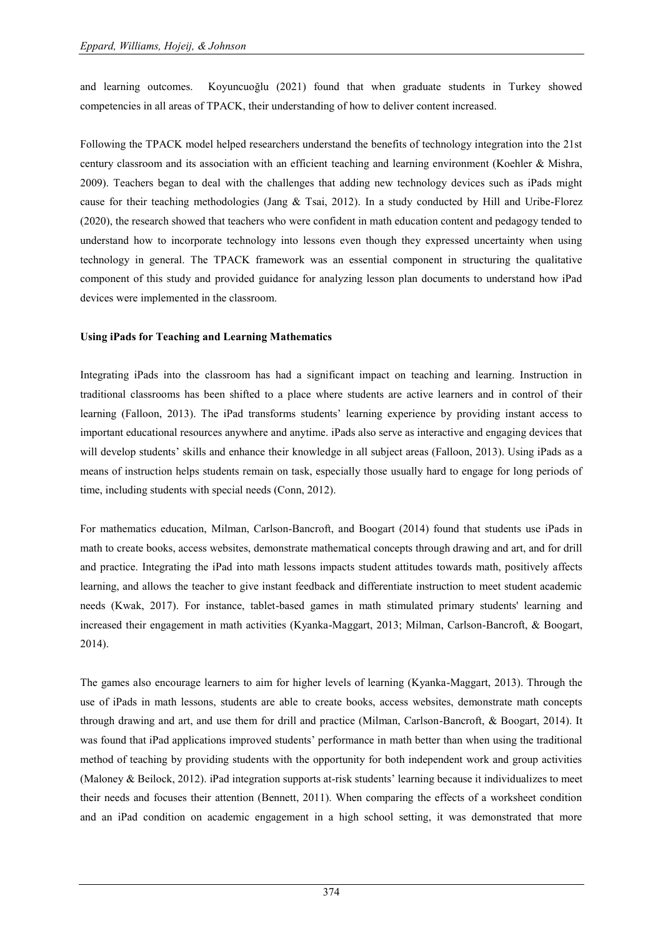and learning outcomes. Koyuncuoğlu (2021) found that when graduate students in Turkey showed competencies in all areas of TPACK, their understanding of how to deliver content increased.

Following the TPACK model helped researchers understand the benefits of technology integration into the 21st century classroom and its association with an efficient teaching and learning environment (Koehler & Mishra, 2009). Teachers began to deal with the challenges that adding new technology devices such as iPads might cause for their teaching methodologies (Jang & Tsai, 2012). In a study conducted by Hill and Uribe-Florez (2020), the research showed that teachers who were confident in math education content and pedagogy tended to understand how to incorporate technology into lessons even though they expressed uncertainty when using technology in general. The TPACK framework was an essential component in structuring the qualitative component of this study and provided guidance for analyzing lesson plan documents to understand how iPad devices were implemented in the classroom.

#### **Using iPads for Teaching and Learning Mathematics**

Integrating iPads into the classroom has had a significant impact on teaching and learning. Instruction in traditional classrooms has been shifted to a place where students are active learners and in control of their learning (Falloon, 2013). The iPad transforms students" learning experience by providing instant access to important educational resources anywhere and anytime. iPads also serve as interactive and engaging devices that will develop students' skills and enhance their knowledge in all subject areas (Falloon, 2013). Using iPads as a means of instruction helps students remain on task, especially those usually hard to engage for long periods of time, including students with special needs (Conn, 2012).

For mathematics education, Milman, Carlson-Bancroft, and Boogart (2014) found that students use iPads in math to create books, access websites, demonstrate mathematical concepts through drawing and art, and for drill and practice. Integrating the iPad into math lessons impacts student attitudes towards math, positively affects learning, and allows the teacher to give instant feedback and differentiate instruction to meet student academic needs (Kwak, 2017). For instance, tablet-based games in math stimulated primary students' learning and increased their engagement in math activities (Kyanka-Maggart, 2013; Milman, Carlson-Bancroft, & Boogart, 2014).

The games also encourage learners to aim for higher levels of learning (Kyanka-Maggart, 2013). Through the use of iPads in math lessons, students are able to create books, access websites, demonstrate math concepts through drawing and art, and use them for drill and practice (Milman, Carlson-Bancroft, & Boogart, 2014). It was found that iPad applications improved students' performance in math better than when using the traditional method of teaching by providing students with the opportunity for both independent work and group activities (Maloney & Beilock, 2012). iPad integration supports at-risk students" learning because it individualizes to meet their needs and focuses their attention (Bennett, 2011). When comparing the effects of a worksheet condition and an iPad condition on academic engagement in a high school setting, it was demonstrated that more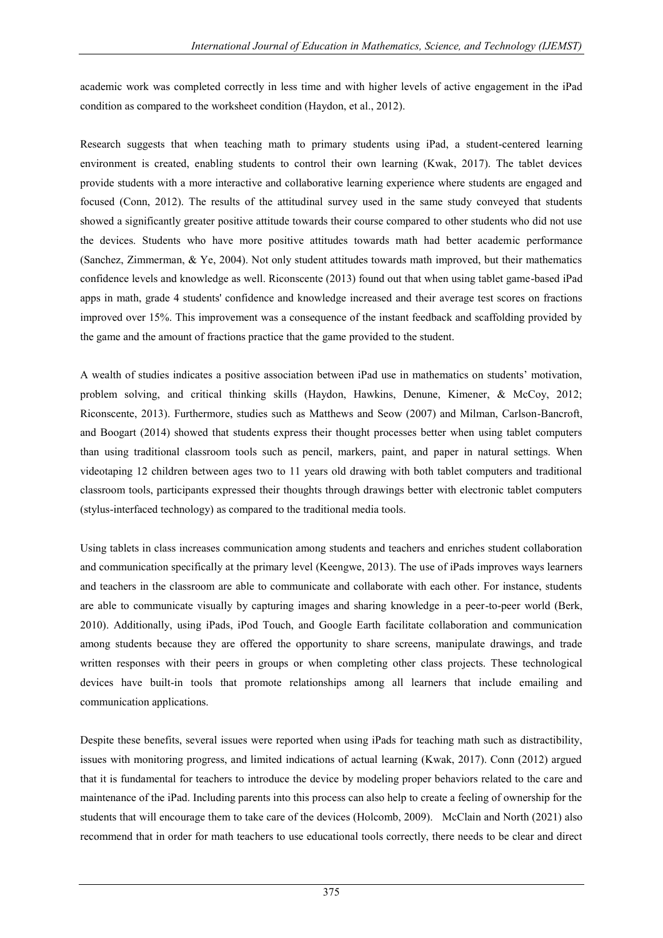academic work was completed correctly in less time and with higher levels of active engagement in the iPad condition as compared to the worksheet condition (Haydon, et al., 2012).

Research suggests that when teaching math to primary students using iPad, a student-centered learning environment is created, enabling students to control their own learning (Kwak, 2017). The tablet devices provide students with a more interactive and collaborative learning experience where students are engaged and focused (Conn, 2012). The results of the attitudinal survey used in the same study conveyed that students showed a significantly greater positive attitude towards their course compared to other students who did not use the devices. Students who have more positive attitudes towards math had better academic performance (Sanchez, Zimmerman, & Ye, 2004). Not only student attitudes towards math improved, but their mathematics confidence levels and knowledge as well. Riconscente (2013) found out that when using tablet game-based iPad apps in math, grade 4 students' confidence and knowledge increased and their average test scores on fractions improved over 15%. This improvement was a consequence of the instant feedback and scaffolding provided by the game and the amount of fractions practice that the game provided to the student.

A wealth of studies indicates a positive association between iPad use in mathematics on students" motivation, problem solving, and critical thinking skills (Haydon, Hawkins, Denune, Kimener, & McCoy, 2012; Riconscente, 2013). Furthermore, studies such as Matthews and Seow (2007) and Milman, Carlson-Bancroft, and Boogart (2014) showed that students express their thought processes better when using tablet computers than using traditional classroom tools such as pencil, markers, paint, and paper in natural settings. When videotaping 12 children between ages two to 11 years old drawing with both tablet computers and traditional classroom tools, participants expressed their thoughts through drawings better with electronic tablet computers (stylus-interfaced technology) as compared to the traditional media tools.

Using tablets in class increases communication among students and teachers and enriches student collaboration and communication specifically at the primary level (Keengwe, 2013). The use of iPads improves ways learners and teachers in the classroom are able to communicate and collaborate with each other. For instance, students are able to communicate visually by capturing images and sharing knowledge in a peer-to-peer world (Berk, 2010). Additionally, using iPads, iPod Touch, and Google Earth facilitate collaboration and communication among students because they are offered the opportunity to share screens, manipulate drawings, and trade written responses with their peers in groups or when completing other class projects. These technological devices have built-in tools that promote relationships among all learners that include emailing and communication applications.

Despite these benefits, several issues were reported when using iPads for teaching math such as distractibility, issues with monitoring progress, and limited indications of actual learning (Kwak, 2017). Conn (2012) argued that it is fundamental for teachers to introduce the device by modeling proper behaviors related to the care and maintenance of the iPad. Including parents into this process can also help to create a feeling of ownership for the students that will encourage them to take care of the devices (Holcomb, 2009). McClain and North (2021) also recommend that in order for math teachers to use educational tools correctly, there needs to be clear and direct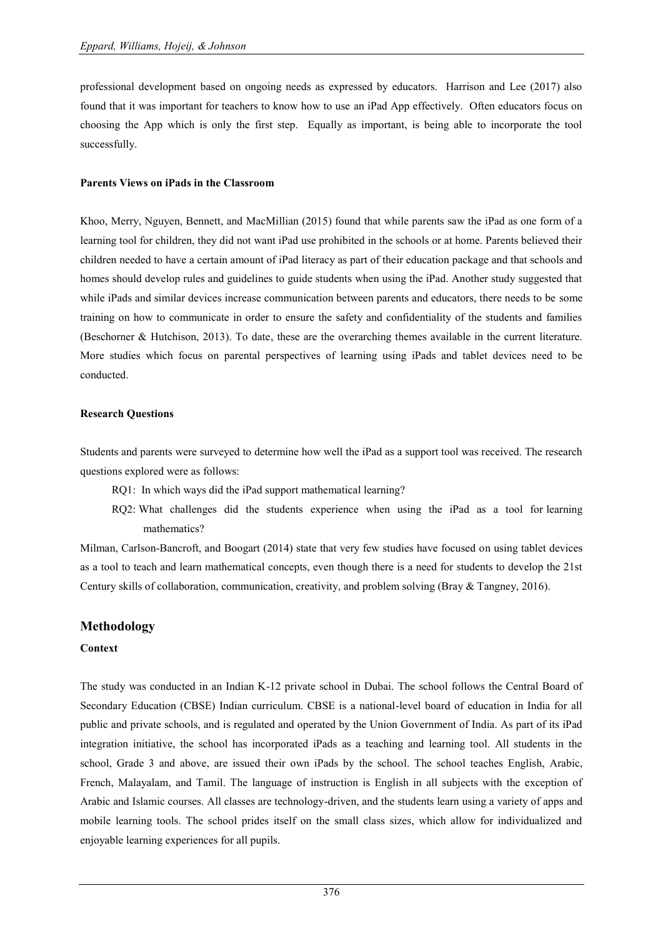professional development based on ongoing needs as expressed by educators. Harrison and Lee (2017) also found that it was important for teachers to know how to use an iPad App effectively. Often educators focus on choosing the App which is only the first step. Equally as important, is being able to incorporate the tool successfully.

#### **Parents Views on iPads in the Classroom**

Khoo, Merry, Nguyen, Bennett, and MacMillian (2015) found that while parents saw the iPad as one form of a learning tool for children, they did not want iPad use prohibited in the schools or at home. Parents believed their children needed to have a certain amount of iPad literacy as part of their education package and that schools and homes should develop rules and guidelines to guide students when using the iPad. Another study suggested that while iPads and similar devices increase communication between parents and educators, there needs to be some training on how to communicate in order to ensure the safety and confidentiality of the students and families (Beschorner & Hutchison, 2013). To date, these are the overarching themes available in the current literature. More studies which focus on parental perspectives of learning using iPads and tablet devices need to be conducted.

#### **Research Questions**

Students and parents were surveyed to determine how well the iPad as a support tool was received. The research questions explored were as follows:

- RQ1: In which ways did the iPad support mathematical learning?
- RQ2: What challenges did the students experience when using the iPad as a tool for learning mathematics?

Milman, Carlson-Bancroft, and Boogart (2014) state that very few studies have focused on using tablet devices as a tool to teach and learn mathematical concepts, even though there is a need for students to develop the 21st Century skills of collaboration, communication, creativity, and problem solving (Bray & Tangney, 2016).

#### **Methodology**

#### **Context**

The study was conducted in an Indian K-12 private school in Dubai. The school follows the Central Board of Secondary Education (CBSE) Indian curriculum. CBSE is a national-level board of education in India for all public and private schools, and is regulated and operated by the Union Government of India. As part of its iPad integration initiative, the school has incorporated iPads as a teaching and learning tool. All students in the school, Grade 3 and above, are issued their own iPads by the school. The school teaches English, Arabic, French, Malayalam, and Tamil. The language of instruction is English in all subjects with the exception of Arabic and Islamic courses. All classes are technology-driven, and the students learn using a variety of apps and mobile learning tools. The school prides itself on the small class sizes, which allow for individualized and enjoyable learning experiences for all pupils.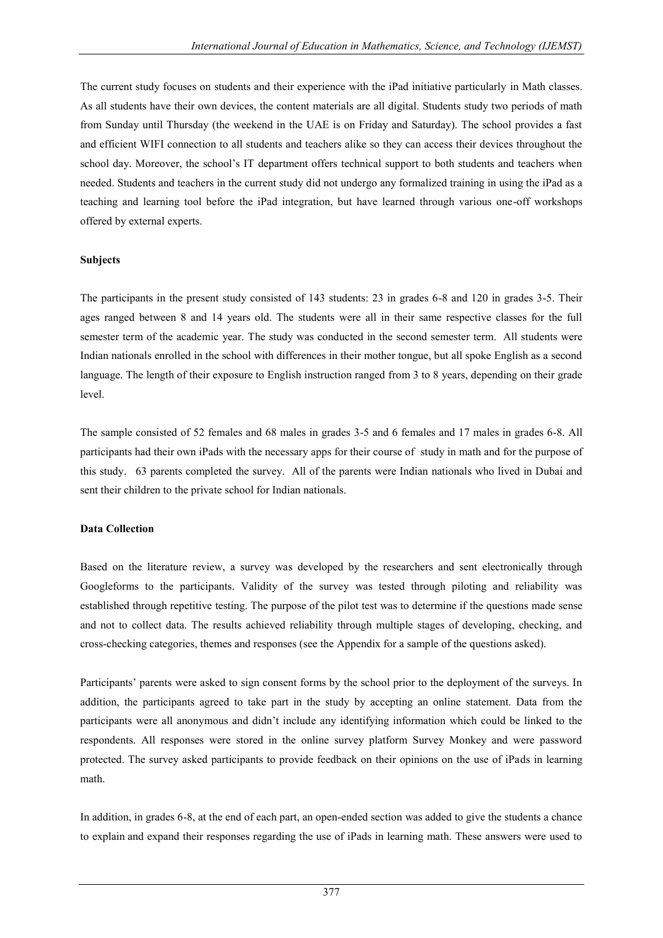The current study focuses on students and their experience with the iPad initiative particularly in Math classes. As all students have their own devices, the content materials are all digital. Students study two periods of math from Sunday until Thursday (the weekend in the UAE is on Friday and Saturday). The school provides a fast and efficient WIFI connection to all students and teachers alike so they can access their devices throughout the school day. Moreover, the school"s IT department offers technical support to both students and teachers when needed. Students and teachers in the current study did not undergo any formalized training in using the iPad as a teaching and learning tool before the iPad integration, but have learned through various one-off workshops offered by external experts.

#### **Subjects**

The participants in the present study consisted of 143 students: 23 in grades 6-8 and 120 in grades 3-5. Their ages ranged between 8 and 14 years old. The students were all in their same respective classes for the full semester term of the academic year. The study was conducted in the second semester term. All students were Indian nationals enrolled in the school with differences in their mother tongue, but all spoke English as a second language. The length of their exposure to English instruction ranged from 3 to 8 years, depending on their grade level.

The sample consisted of 52 females and 68 males in grades 3-5 and 6 females and 17 males in grades 6-8. All participants had their own iPads with the necessary apps for their course of study in math and for the purpose of this study. 63 parents completed the survey. All of the parents were Indian nationals who lived in Dubai and sent their children to the private school for Indian nationals.

#### **Data Collection**

Based on the literature review, a survey was developed by the researchers and sent electronically through Googleforms to the participants. Validity of the survey was tested through piloting and reliability was established through repetitive testing. The purpose of the pilot test was to determine if the questions made sense and not to collect data. The results achieved reliability through multiple stages of developing, checking, and cross-checking categories, themes and responses (see the Appendix for a sample of the questions asked).

Participants' parents were asked to sign consent forms by the school prior to the deployment of the surveys. In addition, the participants agreed to take part in the study by accepting an online statement. Data from the participants were all anonymous and didn"t include any identifying information which could be linked to the respondents. All responses were stored in the online survey platform Survey Monkey and were password protected. The survey asked participants to provide feedback on their opinions on the use of iPads in learning math.

In addition, in grades 6-8, at the end of each part, an open-ended section was added to give the students a chance to explain and expand their responses regarding the use of iPads in learning math. These answers were used to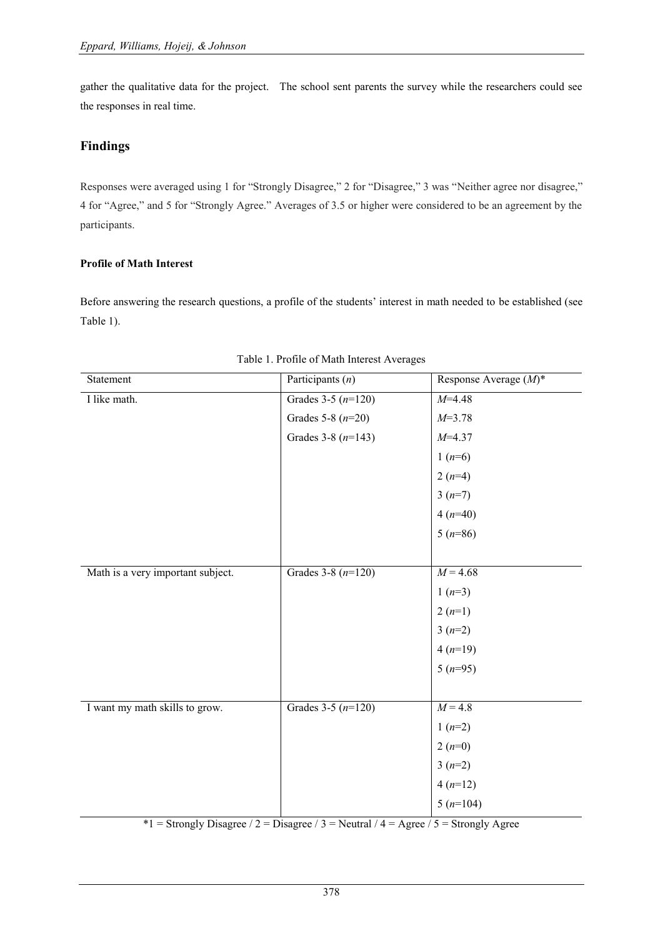gather the qualitative data for the project. The school sent parents the survey while the researchers could see the responses in real time.

# **Findings**

Responses were averaged using 1 for "Strongly Disagree," 2 for "Disagree," 3 was "Neither agree nor disagree," 4 for "Agree," and 5 for "Strongly Agree." Averages of 3.5 or higher were considered to be an agreement by the participants.

#### **Profile of Math Interest**

Before answering the research questions, a profile of the students' interest in math needed to be established (see Table 1).

| Statement                         | Participants $(n)$   | Response Average $(M)^*$ |
|-----------------------------------|----------------------|--------------------------|
| I like math.                      | Grades $3-5(n=120)$  | $M=4.48$                 |
|                                   | Grades 5-8 $(n=20)$  | $M=3.78$                 |
|                                   | Grades 3-8 $(n=143)$ | $M=4.37$                 |
|                                   |                      | $1(n=6)$                 |
|                                   |                      | $2(n=4)$                 |
|                                   |                      | $3(n=7)$                 |
|                                   |                      | $4(n=40)$                |
|                                   |                      | $5(n=86)$                |
|                                   |                      |                          |
| Math is a very important subject. | Grades 3-8 $(n=120)$ | $M = 4.68$               |
|                                   |                      | $1(n=3)$                 |
|                                   |                      | $2(n=1)$                 |
|                                   |                      | $3(n=2)$                 |
|                                   |                      | $4(n=19)$                |
|                                   |                      | $5(n=95)$                |
|                                   |                      |                          |
| I want my math skills to grow.    | Grades $3-5(n=120)$  | $M = 4.8$                |
|                                   |                      | $1(n=2)$                 |
|                                   |                      | $2(n=0)$                 |
|                                   |                      | $3(n=2)$                 |
|                                   |                      | $4(n=12)$                |
|                                   |                      | $5(n=104)$               |
|                                   |                      |                          |

|  | Table 1. Profile of Math Interest Averages |
|--|--------------------------------------------|
|  |                                            |

\*1 = Strongly Disagree / 2 = Disagree / 3 = Neutral / 4 = Agree / 5 = Strongly Agree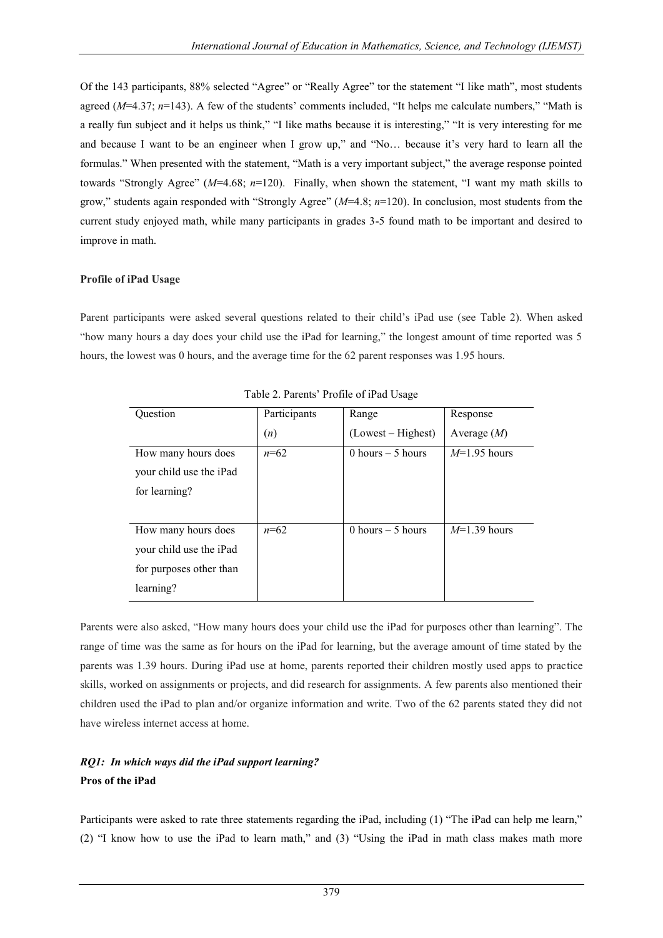Of the 143 participants, 88% selected "Agree" or "Really Agree" tor the statement "I like math", most students agreed (*M*=4.37; *n*=143). A few of the students' comments included, "It helps me calculate numbers," "Math is a really fun subject and it helps us think," "I like maths because it is interesting," "It is very interesting for me and because I want to be an engineer when I grow up," and "No... because it's very hard to learn all the formulas." When presented with the statement, "Math is a very important subject," the average response pointed towards "Strongly Agree" (*M*=4.68; *n*=120). Finally, when shown the statement, "I want my math skills to grow," students again responded with "Strongly Agree" (*M*=4.8; *n*=120). In conclusion, most students from the current study enjoyed math, while many participants in grades 3-5 found math to be important and desired to improve in math.

#### **Profile of iPad Usage**

Parent participants were asked several questions related to their child"s iPad use (see Table 2). When asked "how many hours a day does your child use the iPad for learning," the longest amount of time reported was 5 hours, the lowest was 0 hours, and the average time for the 62 parent responses was 1.95 hours.

| Ouestion                | Participants | Range              | Response       |
|-------------------------|--------------|--------------------|----------------|
|                         | (n)          | (Lowest – Highest) | Average $(M)$  |
| How many hours does     | $n=62$       | 0 hours $-5$ hours | $M=1.95$ hours |
| your child use the iPad |              |                    |                |
| for learning?           |              |                    |                |
|                         |              |                    |                |
| How many hours does     | $n=62$       | 0 hours $-5$ hours | $M=1.39$ hours |
| your child use the iPad |              |                    |                |
| for purposes other than |              |                    |                |
| learning?               |              |                    |                |

Table 2. Parents" Profile of iPad Usage

Parents were also asked, "How many hours does your child use the iPad for purposes other than learning". The range of time was the same as for hours on the iPad for learning, but the average amount of time stated by the parents was 1.39 hours. During iPad use at home, parents reported their children mostly used apps to practice skills, worked on assignments or projects, and did research for assignments. A few parents also mentioned their children used the iPad to plan and/or organize information and write. Two of the 62 parents stated they did not have wireless internet access at home.

# *RQ1: In which ways did the iPad support learning?* **Pros of the iPad**

Participants were asked to rate three statements regarding the iPad, including (1) "The iPad can help me learn," (2) "I know how to use the iPad to learn math," and (3) "Using the iPad in math class makes math more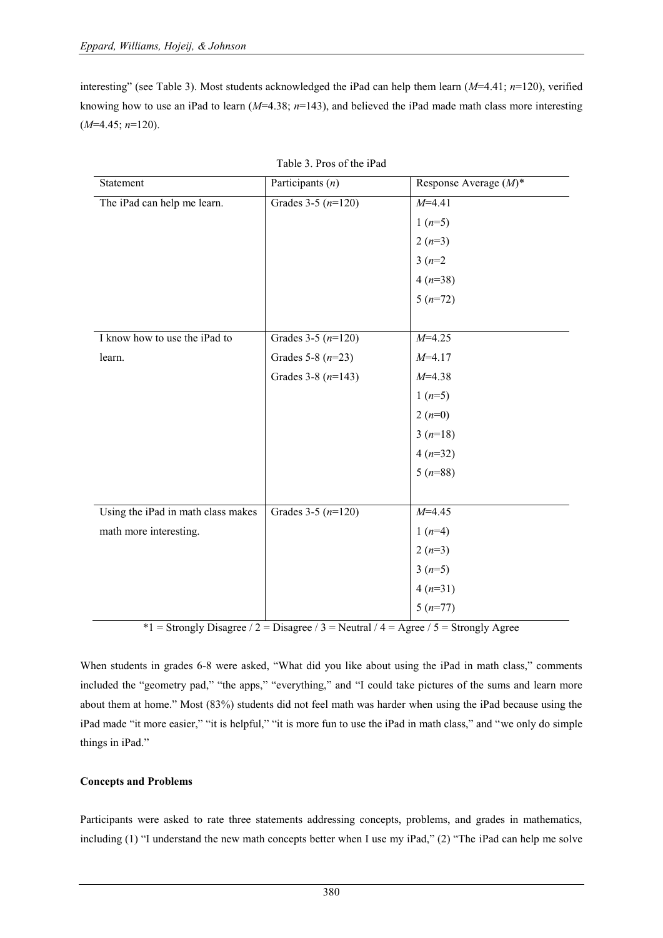interesting" (see Table 3). Most students acknowledged the iPad can help them learn (*M*=4.41; *n*=120), verified knowing how to use an iPad to learn (*M*=4.38; *n*=143), and believed the iPad made math class more interesting (*M*=4.45; *n*=120).

| Statement                          | Participants $(n)$   | Response Average $(M)^*$ |
|------------------------------------|----------------------|--------------------------|
| The iPad can help me learn.        | Grades 3-5 $(n=120)$ | $M=4.41$                 |
|                                    |                      | $1(n=5)$                 |
|                                    |                      | $2(n=3)$                 |
|                                    |                      | $3(n=2)$                 |
|                                    |                      | $4(n=38)$                |
|                                    |                      | $5(n=72)$                |
|                                    |                      |                          |
| I know how to use the iPad to      | Grades 3-5 $(n=120)$ | $M=4.25$                 |
| learn.                             | Grades 5-8 $(n=23)$  | $M=4.17$                 |
|                                    | Grades 3-8 $(n=143)$ | $M=4.38$                 |
|                                    |                      | $1(n=5)$                 |
|                                    |                      | $2(n=0)$                 |
|                                    |                      | $3(n=18)$                |
|                                    |                      | $4(n=32)$                |
|                                    |                      | $5(n=88)$                |
|                                    |                      |                          |
| Using the iPad in math class makes | Grades 3-5 $(n=120)$ | $M=4.45$                 |
| math more interesting.             |                      | $1(n=4)$                 |
|                                    |                      | $2(n=3)$                 |
|                                    |                      | $3(n=5)$                 |
|                                    |                      | $4(n=31)$                |
|                                    |                      | $5(n=77)$                |

| Table 3. Pros of the iPad |  |  |  |  |  |  |  |
|---------------------------|--|--|--|--|--|--|--|
|---------------------------|--|--|--|--|--|--|--|

 $*1$  = Strongly Disagree / 2 = Disagree / 3 = Neutral / 4 = Agree / 5 = Strongly Agree

When students in grades 6-8 were asked, "What did you like about using the iPad in math class," comments included the "geometry pad," "the apps," "everything," and "I could take pictures of the sums and learn more about them at home." Most (83%) students did not feel math was harder when using the iPad because using the iPad made "it more easier," "it is helpful," "it is more fun to use the iPad in math class," and "we only do simple things in iPad."

#### **Concepts and Problems**

Participants were asked to rate three statements addressing concepts, problems, and grades in mathematics, including (1) "I understand the new math concepts better when I use my iPad," (2) "The iPad can help me solve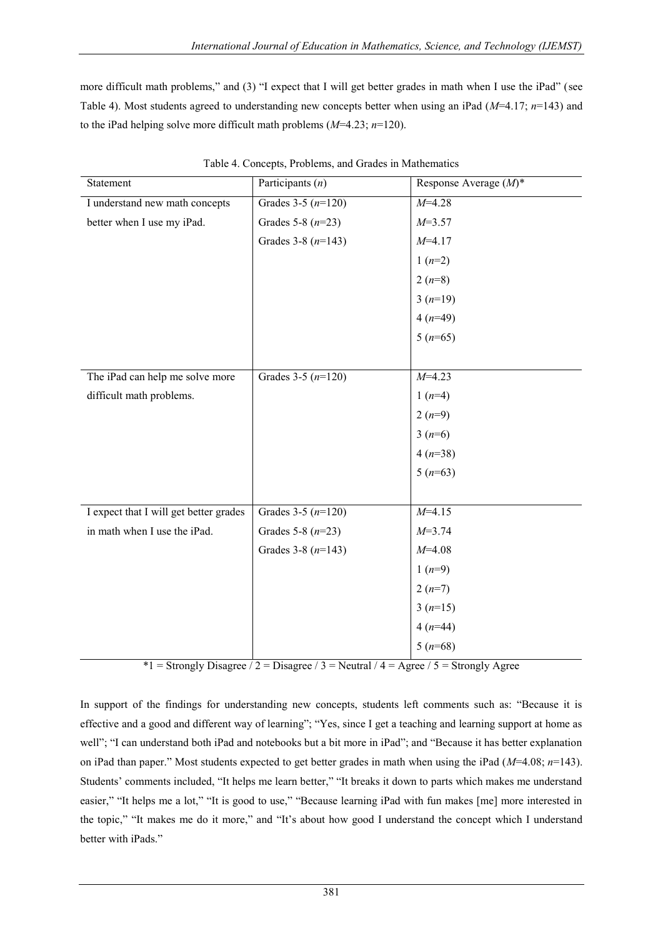more difficult math problems," and (3) "I expect that I will get better grades in math when I use the iPad" (see Table 4). Most students agreed to understanding new concepts better when using an iPad (*M*=4.17; *n*=143) and to the iPad helping solve more difficult math problems (*M*=4.23; *n*=120).

| Statement                              | Participants $(n)$   | Response Average $(M)^*$ |
|----------------------------------------|----------------------|--------------------------|
| I understand new math concepts         | Grades $3-5(n=120)$  | $M=4.28$                 |
| better when I use my iPad.             | Grades 5-8 $(n=23)$  | $M=3.57$                 |
|                                        | Grades 3-8 $(n=143)$ | $M=4.17$                 |
|                                        |                      | $1(n=2)$                 |
|                                        |                      | $2(n=8)$                 |
|                                        |                      | $3(n=19)$                |
|                                        |                      | $4(n=49)$                |
|                                        |                      | $5(n=65)$                |
|                                        |                      |                          |
| The iPad can help me solve more        | Grades 3-5 $(n=120)$ | $M=4.23$                 |
| difficult math problems.               |                      | $1(n=4)$                 |
|                                        |                      | $2(n=9)$                 |
|                                        |                      | $3(n=6)$                 |
|                                        |                      | $4(n=38)$                |
|                                        |                      | $5(n=63)$                |
|                                        |                      |                          |
| I expect that I will get better grades | Grades 3-5 $(n=120)$ | $M=4.15$                 |
| in math when I use the iPad.           | Grades 5-8 $(n=23)$  | $M=3.74$                 |
|                                        | Grades 3-8 $(n=143)$ | $M=4.08$                 |
|                                        |                      | $1(n=9)$                 |
|                                        |                      | $2(n=7)$                 |
|                                        |                      | $3(n=15)$                |
|                                        |                      | $4(n=44)$                |
|                                        |                      | $5(n=68)$                |

Table 4. Concepts, Problems, and Grades in Mathematics

\*1 = Strongly Disagree / 2 = Disagree / 3 = Neutral / 4 = Agree / 5 = Strongly Agree

In support of the findings for understanding new concepts, students left comments such as: "Because it is effective and a good and different way of learning"; "Yes, since I get a teaching and learning support at home as well"; "I can understand both iPad and notebooks but a bit more in iPad"; and "Because it has better explanation on iPad than paper." Most students expected to get better grades in math when using the iPad (*M*=4.08; *n*=143). Students' comments included, "It helps me learn better," "It breaks it down to parts which makes me understand easier," "It helps me a lot," "It is good to use," "Because learning iPad with fun makes [me] more interested in the topic," "It makes me do it more," and "It's about how good I understand the concept which I understand better with iPads."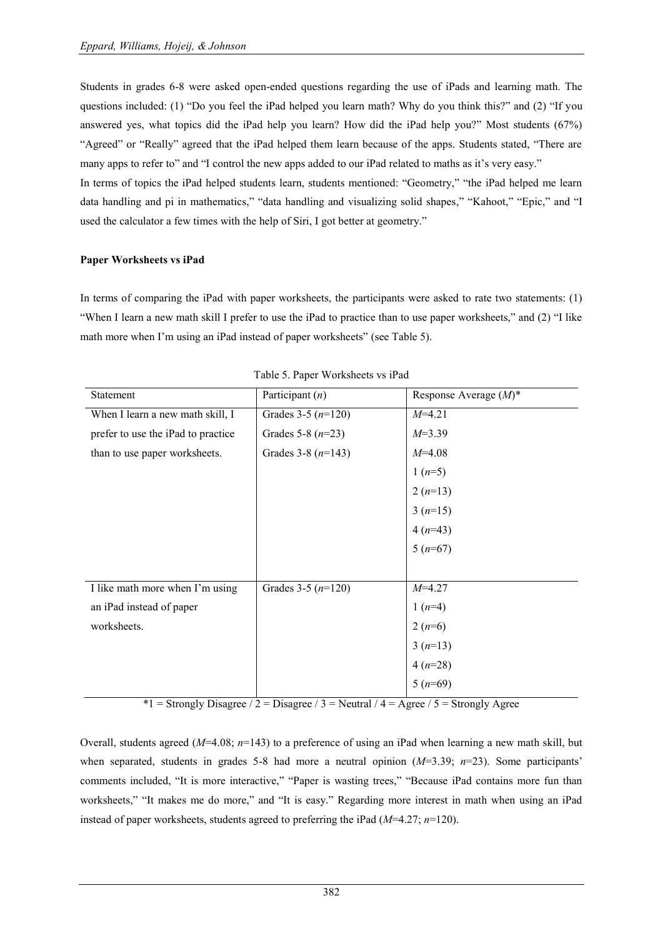Students in grades 6-8 were asked open-ended questions regarding the use of iPads and learning math. The questions included: (1) "Do you feel the iPad helped you learn math? Why do you think this?" and (2) "If you answered yes, what topics did the iPad help you learn? How did the iPad help you?" Most students (67%) "Agreed" or "Really" agreed that the iPad helped them learn because of the apps. Students stated, "There are many apps to refer to" and "I control the new apps added to our iPad related to maths as it's very easy."

In terms of topics the iPad helped students learn, students mentioned: "Geometry," "the iPad helped me learn data handling and pi in mathematics," "data handling and visualizing solid shapes," "Kahoot," "Epic," and "I used the calculator a few times with the help of Siri, I got better at geometry."

#### **Paper Worksheets vs iPad**

In terms of comparing the iPad with paper worksheets, the participants were asked to rate two statements: (1) "When I learn a new math skill I prefer to use the iPad to practice than to use paper worksheets," and (2) "I like math more when I'm using an iPad instead of paper worksheets" (see Table 5).

| Statement                          | Participant $(n)$    | Response Average $(M)^*$ |
|------------------------------------|----------------------|--------------------------|
| When I learn a new math skill, I   | Grades 3-5 $(n=120)$ | $M=4.21$                 |
| prefer to use the iPad to practice | Grades 5-8 $(n=23)$  | $M=3.39$                 |
| than to use paper worksheets.      | Grades 3-8 $(n=143)$ | $M=4.08$                 |
|                                    |                      | $1(n=5)$                 |
|                                    |                      | $2(n=13)$                |
|                                    |                      | $3(n=15)$                |
|                                    |                      | $4(n=43)$<br>5 $(n=67)$  |
|                                    |                      |                          |
|                                    |                      |                          |
| I like math more when I'm using    | Grades 3-5 $(n=120)$ | $M=4.27$                 |
| an iPad instead of paper           |                      | $1(n=4)$                 |
| worksheets.                        |                      | $2(n=6)$                 |
|                                    |                      | $3(n=13)$                |
|                                    |                      | $4(n=28)$                |
|                                    |                      | $5(n=69)$                |

Table 5. Paper Worksheets vs iPad

 $*1$  = Strongly Disagree / 2 = Disagree / 3 = Neutral / 4 = Agree / 5 = Strongly Agree

Overall, students agreed (*M*=4.08; *n*=143) to a preference of using an iPad when learning a new math skill, but when separated, students in grades 5-8 had more a neutral opinion  $(M=3.39; n=23)$ . Some participants' comments included, "It is more interactive," "Paper is wasting trees," "Because iPad contains more fun than worksheets," "It makes me do more," and "It is easy." Regarding more interest in math when using an iPad instead of paper worksheets, students agreed to preferring the iPad (*M*=4.27; *n*=120).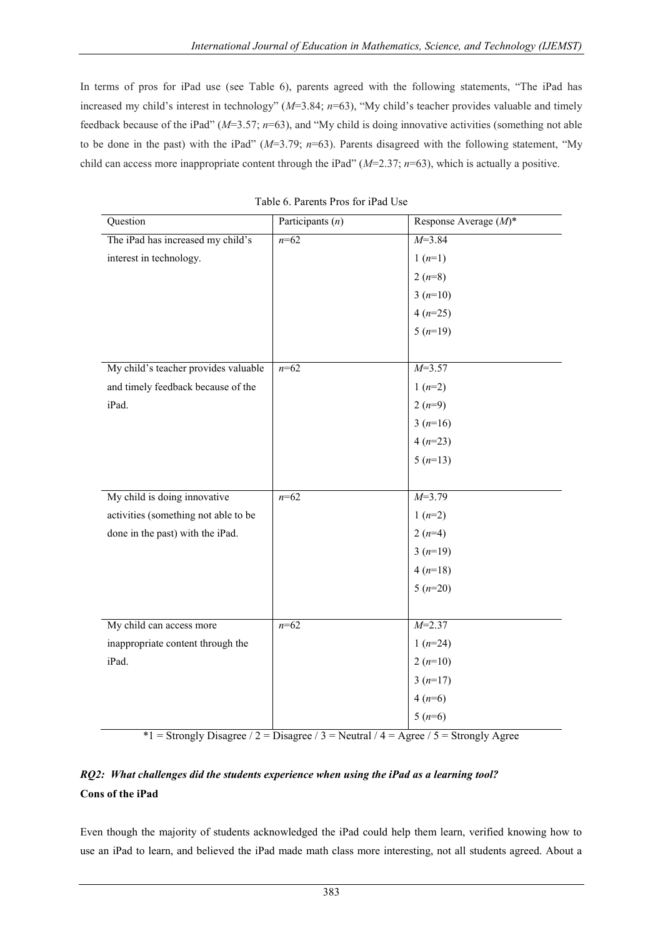In terms of pros for iPad use (see Table 6), parents agreed with the following statements, "The iPad has increased my child"s interest in technology" (*M*=3.84; *n*=63), "My child"s teacher provides valuable and timely feedback because of the iPad" (*M*=3.57; *n*=63), and "My child is doing innovative activities (something not able to be done in the past) with the iPad" (*M*=3.79; *n*=63). Parents disagreed with the following statement, "My child can access more inappropriate content through the iPad" (*M*=2.37; *n*=63), which is actually a positive.

| Question                             | Participants $(n)$ | Response Average (M)* |
|--------------------------------------|--------------------|-----------------------|
| The iPad has increased my child's    | $n = 62$           | $M = 3.84$            |
| interest in technology.              |                    | $1(n=1)$              |
|                                      |                    | $2(n=8)$              |
|                                      |                    | $3(n=10)$             |
|                                      |                    | $4(n=25)$             |
|                                      |                    | $5(n=19)$             |
|                                      |                    |                       |
| My child's teacher provides valuable | $n=62$             | $M=3.57$              |
| and timely feedback because of the   |                    | $1(n=2)$              |
| iPad.                                |                    | $2(n=9)$              |
|                                      |                    | $3(n=16)$             |
|                                      |                    | $4(n=23)$             |
|                                      |                    | $5(n=13)$             |
|                                      |                    |                       |
| My child is doing innovative         | $n = 62$           | $M=3.79$              |
| activities (something not able to be |                    | $1(n=2)$              |
| done in the past) with the iPad.     |                    | $2(n=4)$              |
|                                      |                    | $3(n=19)$             |
|                                      |                    | $4(n=18)$             |
|                                      |                    | $5(n=20)$             |
|                                      |                    |                       |
| My child can access more             | $n=62$             | $M=2.37$              |
| inappropriate content through the    |                    | $1(n=24)$             |
| iPad.                                |                    | $2(n=10)$             |
|                                      |                    | $3(n=17)$             |
|                                      |                    | $4(n=6)$              |
|                                      |                    | $5(n=6)$              |

| Table 6. Parents Pros for iPad Use |  |  |
|------------------------------------|--|--|
|                                    |  |  |

 $*1$  = Strongly Disagree / 2 = Disagree / 3 = Neutral / 4 = Agree / 5 = Strongly Agree

# *RQ2: What challenges did the students experience when using the iPad as a learning tool?* **Cons of the iPad**

Even though the majority of students acknowledged the iPad could help them learn, verified knowing how to use an iPad to learn, and believed the iPad made math class more interesting, not all students agreed. About a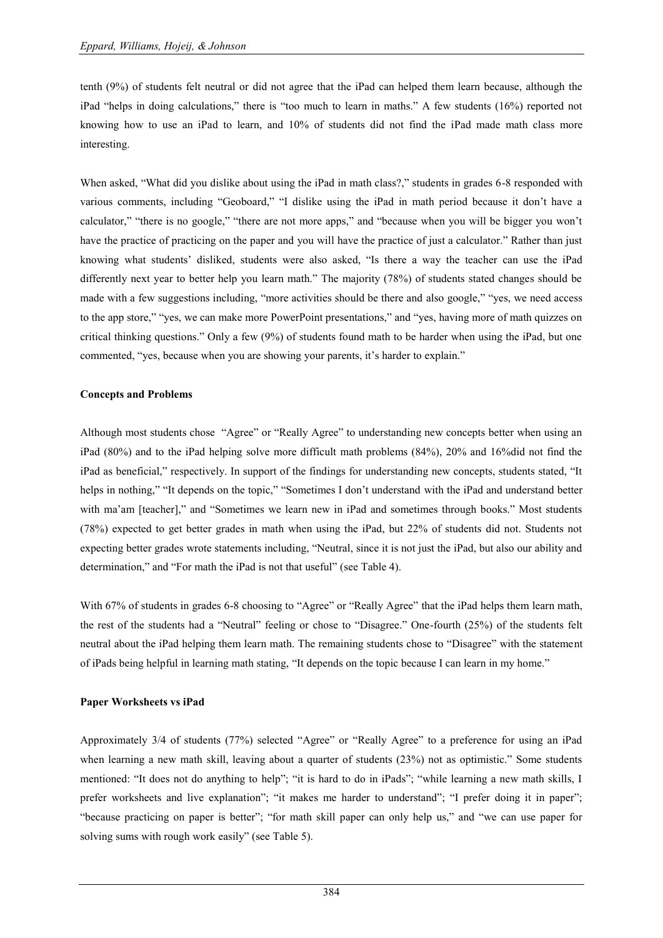tenth (9%) of students felt neutral or did not agree that the iPad can helped them learn because, although the iPad "helps in doing calculations," there is "too much to learn in maths." A few students (16%) reported not knowing how to use an iPad to learn, and 10% of students did not find the iPad made math class more interesting.

When asked, "What did you dislike about using the iPad in math class?," students in grades 6-8 responded with various comments, including "Geoboard," "I dislike using the iPad in math period because it don"t have a calculator," "there is no google," "there are not more apps," and "because when you will be bigger you won"t have the practice of practicing on the paper and you will have the practice of just a calculator." Rather than just knowing what students" disliked, students were also asked, "Is there a way the teacher can use the iPad differently next year to better help you learn math." The majority (78%) of students stated changes should be made with a few suggestions including, "more activities should be there and also google," "yes, we need access to the app store," "yes, we can make more PowerPoint presentations," and "yes, having more of math quizzes on critical thinking questions." Only a few (9%) of students found math to be harder when using the iPad, but one commented, "yes, because when you are showing your parents, it's harder to explain."

#### **Concepts and Problems**

Although most students chose "Agree" or "Really Agree" to understanding new concepts better when using an iPad (80%) and to the iPad helping solve more difficult math problems (84%), 20% and 16%did not find the iPad as beneficial," respectively. In support of the findings for understanding new concepts, students stated, "It helps in nothing," "It depends on the topic," "Sometimes I don't understand with the iPad and understand better with ma'am [teacher]," and "Sometimes we learn new in iPad and sometimes through books." Most students (78%) expected to get better grades in math when using the iPad, but 22% of students did not. Students not expecting better grades wrote statements including, "Neutral, since it is not just the iPad, but also our ability and determination," and "For math the iPad is not that useful" (see Table 4).

With 67% of students in grades 6-8 choosing to "Agree" or "Really Agree" that the iPad helps them learn math, the rest of the students had a "Neutral" feeling or chose to "Disagree." One-fourth (25%) of the students felt neutral about the iPad helping them learn math. The remaining students chose to "Disagree" with the statement of iPads being helpful in learning math stating, "It depends on the topic because I can learn in my home."

#### **Paper Worksheets vs iPad**

Approximately 3/4 of students (77%) selected "Agree" or "Really Agree" to a preference for using an iPad when learning a new math skill, leaving about a quarter of students (23%) not as optimistic." Some students mentioned: "It does not do anything to help"; "it is hard to do in iPads"; "while learning a new math skills, I prefer worksheets and live explanation"; "it makes me harder to understand"; "I prefer doing it in paper"; "because practicing on paper is better"; "for math skill paper can only help us," and "we can use paper for solving sums with rough work easily" (see Table 5).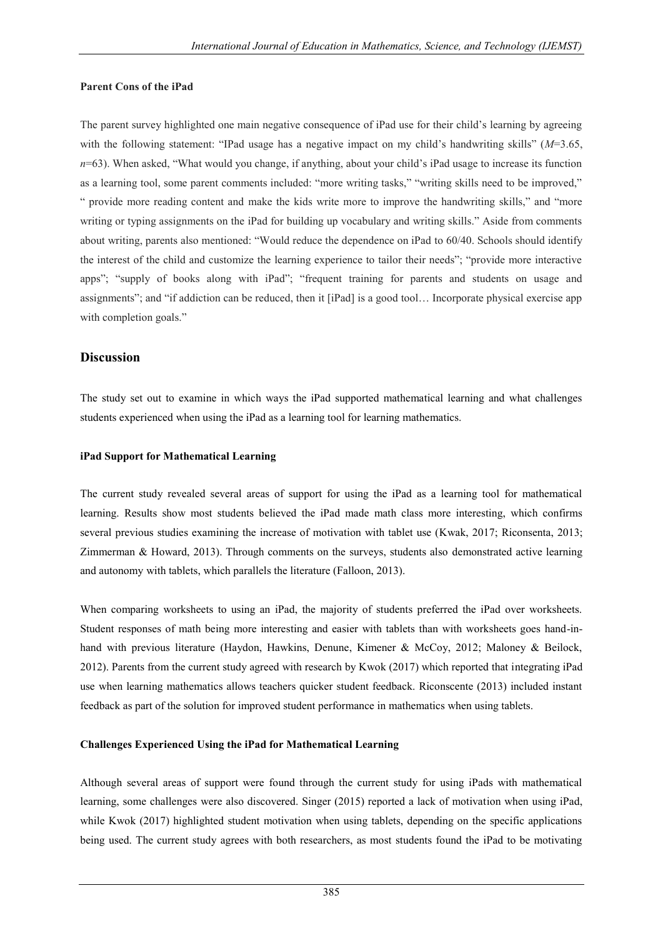#### **Parent Cons of the iPad**

The parent survey highlighted one main negative consequence of iPad use for their child"s learning by agreeing with the following statement: "IPad usage has a negative impact on my child's handwriting skills" (*M*=3.65,  $n=63$ ). When asked, "What would you change, if anything, about your child's iPad usage to increase its function as a learning tool, some parent comments included: "more writing tasks," "writing skills need to be improved," " provide more reading content and make the kids write more to improve the handwriting skills," and "more writing or typing assignments on the iPad for building up vocabulary and writing skills." Aside from comments about writing, parents also mentioned: "Would reduce the dependence on iPad to 60/40. Schools should identify the interest of the child and customize the learning experience to tailor their needs"; "provide more interactive apps"; "supply of books along with iPad"; "frequent training for parents and students on usage and assignments"; and "if addiction can be reduced, then it [iPad] is a good tool… Incorporate physical exercise app with completion goals."

#### **Discussion**

The study set out to examine in which ways the iPad supported mathematical learning and what challenges students experienced when using the iPad as a learning tool for learning mathematics.

#### **iPad Support for Mathematical Learning**

The current study revealed several areas of support for using the iPad as a learning tool for mathematical learning. Results show most students believed the iPad made math class more interesting, which confirms several previous studies examining the increase of motivation with tablet use (Kwak, 2017; Riconsenta, 2013; Zimmerman & Howard, 2013). Through comments on the surveys, students also demonstrated active learning and autonomy with tablets, which parallels the literature (Falloon, 2013).

When comparing worksheets to using an iPad, the majority of students preferred the iPad over worksheets. Student responses of math being more interesting and easier with tablets than with worksheets goes hand-inhand with previous literature (Haydon, Hawkins, Denune, Kimener & McCoy, 2012; Maloney & Beilock, 2012). Parents from the current study agreed with research by Kwok (2017) which reported that integrating iPad use when learning mathematics allows teachers quicker student feedback. Riconscente (2013) included instant feedback as part of the solution for improved student performance in mathematics when using tablets.

#### **Challenges Experienced Using the iPad for Mathematical Learning**

Although several areas of support were found through the current study for using iPads with mathematical learning, some challenges were also discovered. Singer (2015) reported a lack of motivation when using iPad, while Kwok (2017) highlighted student motivation when using tablets, depending on the specific applications being used. The current study agrees with both researchers, as most students found the iPad to be motivating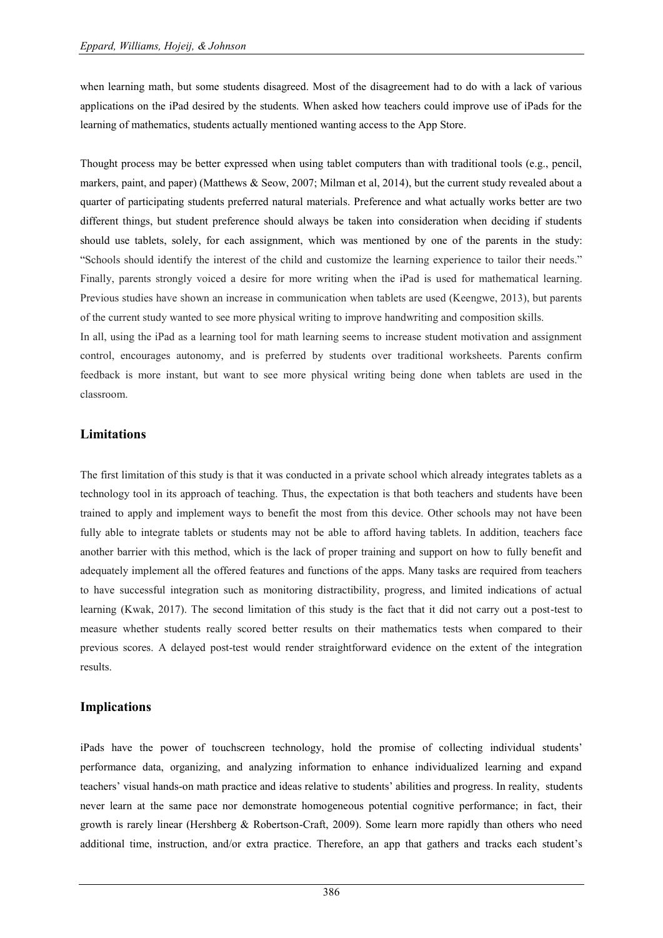when learning math, but some students disagreed. Most of the disagreement had to do with a lack of various applications on the iPad desired by the students. When asked how teachers could improve use of iPads for the learning of mathematics, students actually mentioned wanting access to the App Store.

Thought process may be better expressed when using tablet computers than with traditional tools (e.g., pencil, markers, paint, and paper) (Matthews & Seow, 2007; Milman et al, 2014), but the current study revealed about a quarter of participating students preferred natural materials. Preference and what actually works better are two different things, but student preference should always be taken into consideration when deciding if students should use tablets, solely, for each assignment, which was mentioned by one of the parents in the study: "Schools should identify the interest of the child and customize the learning experience to tailor their needs." Finally, parents strongly voiced a desire for more writing when the iPad is used for mathematical learning. Previous studies have shown an increase in communication when tablets are used (Keengwe, 2013), but parents of the current study wanted to see more physical writing to improve handwriting and composition skills.

In all, using the iPad as a learning tool for math learning seems to increase student motivation and assignment control, encourages autonomy, and is preferred by students over traditional worksheets. Parents confirm feedback is more instant, but want to see more physical writing being done when tablets are used in the classroom.

## **Limitations**

The first limitation of this study is that it was conducted in a private school which already integrates tablets as a technology tool in its approach of teaching. Thus, the expectation is that both teachers and students have been trained to apply and implement ways to benefit the most from this device. Other schools may not have been fully able to integrate tablets or students may not be able to afford having tablets. In addition, teachers face another barrier with this method, which is the lack of proper training and support on how to fully benefit and adequately implement all the offered features and functions of the apps. Many tasks are required from teachers to have successful integration such as monitoring distractibility, progress, and limited indications of actual learning (Kwak, 2017). The second limitation of this study is the fact that it did not carry out a post-test to measure whether students really scored better results on their mathematics tests when compared to their previous scores. A delayed post-test would render straightforward evidence on the extent of the integration results.

## **Implications**

iPads have the power of touchscreen technology, hold the promise of collecting individual students" performance data, organizing, and analyzing information to enhance individualized learning and expand teachers" visual hands-on math practice and ideas relative to students" abilities and progress. In reality, students never learn at the same pace nor demonstrate homogeneous potential cognitive performance; in fact, their growth is rarely linear (Hershberg & Robertson-Craft, 2009). Some learn more rapidly than others who need additional time, instruction, and/or extra practice. Therefore, an app that gathers and tracks each student"s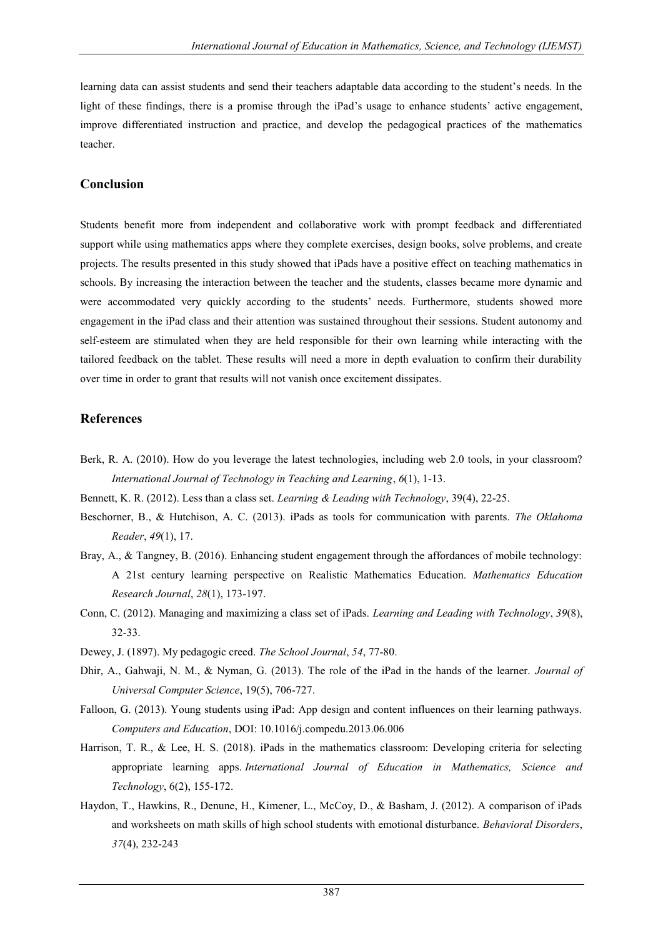learning data can assist students and send their teachers adaptable data according to the student"s needs. In the light of these findings, there is a promise through the iPad's usage to enhance students' active engagement, improve differentiated instruction and practice, and develop the pedagogical practices of the mathematics teacher.

### **Conclusion**

Students benefit more from independent and collaborative work with prompt feedback and differentiated support while using mathematics apps where they complete exercises, design books, solve problems, and create projects. The results presented in this study showed that iPads have a positive effect on teaching mathematics in schools. By increasing the interaction between the teacher and the students, classes became more dynamic and were accommodated very quickly according to the students" needs. Furthermore, students showed more engagement in the iPad class and their attention was sustained throughout their sessions. Student autonomy and self-esteem are stimulated when they are held responsible for their own learning while interacting with the tailored feedback on the tablet. These results will need a more in depth evaluation to confirm their durability over time in order to grant that results will not vanish once excitement dissipates.

## **References**

- Berk, R. A. (2010). How do you leverage the latest technologies, including web 2.0 tools, in your classroom? *International Journal of Technology in Teaching and Learning*, *6*(1), 1-13.
- Bennett, K. R. (2012). Less than a class set. *Learning & Leading with Technology*, 39(4), 22-25.
- Beschorner, B., & Hutchison, A. C. (2013). iPads as tools for communication with parents. *The Oklahoma Reader*, *49*(1), 17.
- Bray, A., & Tangney, B. (2016). Enhancing student engagement through the affordances of mobile technology: A 21st century learning perspective on Realistic Mathematics Education. *Mathematics Education Research Journal*, *28*(1), 173-197.
- Conn, C. (2012). Managing and maximizing a class set of iPads. *Learning and Leading with Technology*, *39*(8), 32-33.
- Dewey, J. (1897). My pedagogic creed. *The School Journal*, *54*, 77-80.
- Dhir, A., Gahwaji, N. M., & Nyman, G. (2013). The role of the iPad in the hands of the learner. *Journal of Universal Computer Science*, 19(5), 706-727.
- Falloon, G. (2013). Young students using iPad: App design and content influences on their learning pathways. *Computers and Education*, DOI: 10.1016/j.compedu.2013.06.006
- Harrison, T. R., & Lee, H. S. (2018). iPads in the mathematics classroom: Developing criteria for selecting appropriate learning apps. *International Journal of Education in Mathematics, Science and Technology*, 6(2), 155-172.
- Haydon, T., Hawkins, R., Denune, H., Kimener, L., McCoy, D., & Basham, J. (2012). A comparison of iPads and worksheets on math skills of high school students with emotional disturbance. *Behavioral Disorders*, *37*(4), 232-243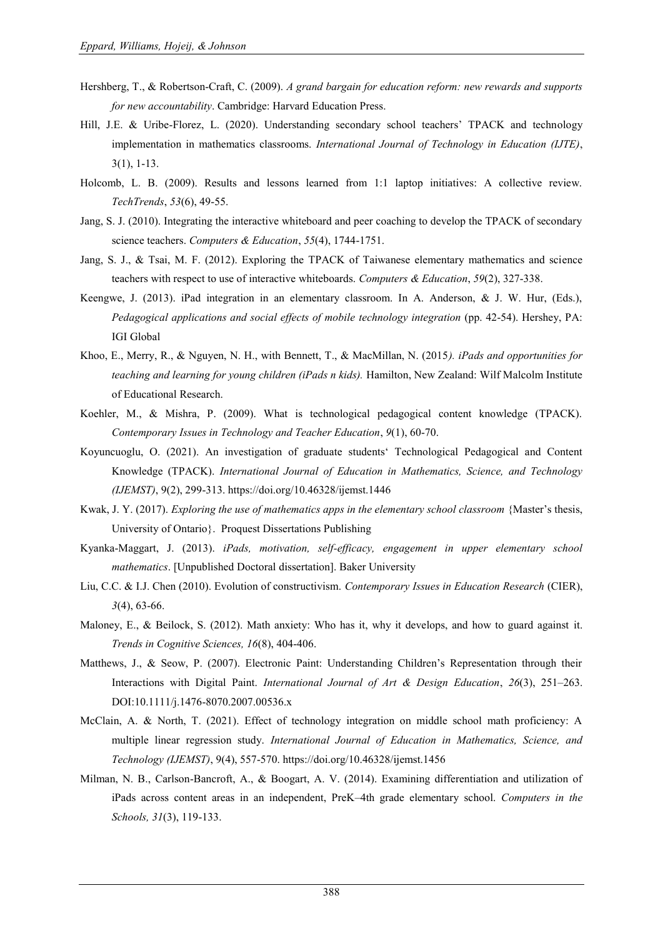- Hershberg, T., & Robertson-Craft, C. (2009). *A grand bargain for education reform: new rewards and supports for new accountability*. Cambridge: Harvard Education Press.
- Hill, J.E. & Uribe-Florez, L. (2020). Understanding secondary school teachers" TPACK and technology implementation in mathematics classrooms. *International Journal of Technology in Education (IJTE)*, 3(1), 1-13.
- Holcomb, L. B. (2009). Results and lessons learned from 1:1 laptop initiatives: A collective review. *TechTrends*, *53*(6), 49-55.
- Jang, S. J. (2010). Integrating the interactive whiteboard and peer coaching to develop the TPACK of secondary science teachers. *Computers & Education*, *55*(4), 1744-1751.
- Jang, S. J., & Tsai, M. F. (2012). Exploring the TPACK of Taiwanese elementary mathematics and science teachers with respect to use of interactive whiteboards. *Computers & Education*, *59*(2), 327-338.
- Keengwe, J. (2013). iPad integration in an elementary classroom. In A. Anderson, & J. W. Hur, (Eds.), *Pedagogical applications and social effects of mobile technology integration* (pp. 42-54). Hershey, PA: IGI Global
- Khoo, E., Merry, R., & Nguyen, N. H., with Bennett, T., & MacMillan, N. (2015*). iPads and opportunities for teaching and learning for young children (iPads n kids).* Hamilton, New Zealand: Wilf Malcolm Institute of Educational Research.
- Koehler, M., & Mishra, P. (2009). What is technological pedagogical content knowledge (TPACK). *Contemporary Issues in Technology and Teacher Education*, *9*(1), 60-70.
- Koyuncuoglu, O. (2021). An investigation of graduate students" Technological Pedagogical and Content Knowledge (TPACK). *International Journal of Education in Mathematics, Science, and Technology (IJEMST)*, 9(2), 299-313. https://doi.org/10.46328/ijemst.1446
- Kwak, J. Y. (2017). *Exploring the use of mathematics apps in the elementary school classroom* {Master's thesis, University of Ontario}. Proquest Dissertations Publishing
- Kyanka-Maggart, J. (2013). *iPads, motivation, self-efficacy, engagement in upper elementary school mathematics*. [Unpublished Doctoral dissertation]. Baker University
- Liu, C.C. & I.J. Chen (2010). Evolution of constructivism. *Contemporary Issues in Education Research* (CIER), *3*(4), 63-66.
- Maloney, E., & Beilock, S. (2012). Math anxiety: Who has it, why it develops, and how to guard against it. *Trends in Cognitive Sciences, 16*(8), 404-406.
- Matthews, J., & Seow, P. (2007). Electronic Paint: Understanding Children's Representation through their Interactions with Digital Paint. *International Journal of Art & Design Education*, *26*(3), 251–263. DOI:10.1111/j.1476-8070.2007.00536.x
- McClain, A. & North, T. (2021). Effect of technology integration on middle school math proficiency: A multiple linear regression study. *International Journal of Education in Mathematics, Science, and Technology (IJEMST)*, 9(4), 557-570. https://doi.org/10.46328/ijemst.1456
- Milman, N. B., Carlson-Bancroft, A., & Boogart, A. V. (2014). Examining differentiation and utilization of iPads across content areas in an independent, PreK–4th grade elementary school. *Computers in the Schools, 31*(3), 119-133.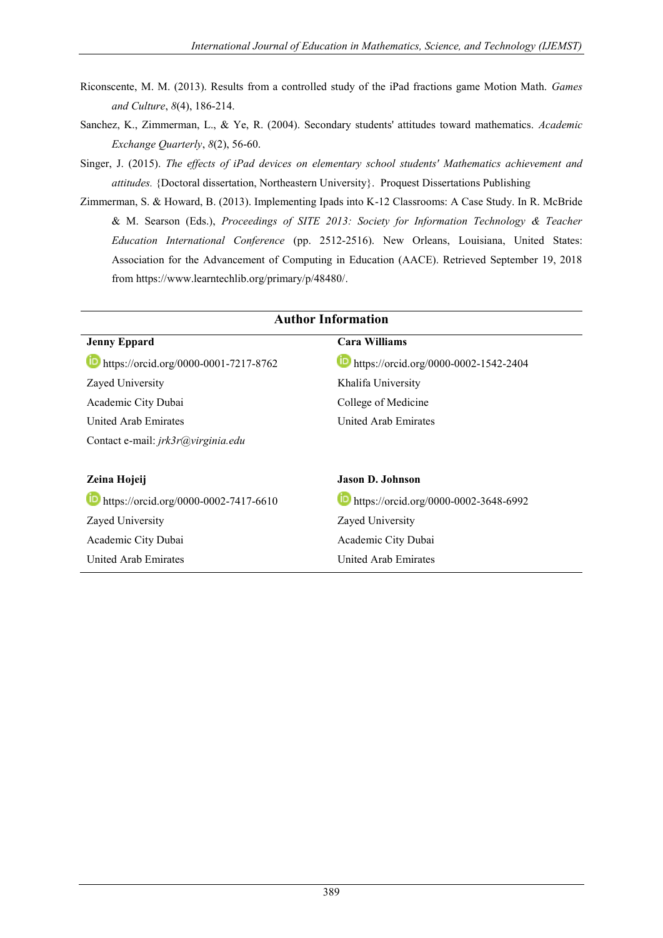- Riconscente, M. M. (2013). Results from a controlled study of the iPad fractions game Motion Math. *Games and Culture*, *8*(4), 186-214.
- Sanchez, K., Zimmerman, L., & Ye, R. (2004). Secondary students' attitudes toward mathematics. *Academic Exchange Quarterly*, *8*(2), 56-60.
- Singer, J. (2015). *The effects of iPad devices on elementary school students' Mathematics achievement and attitudes.* {Doctoral dissertation, Northeastern University}. Proquest Dissertations Publishing
- Zimmerman, S. & Howard, B. (2013). Implementing Ipads into K-12 Classrooms: A Case Study. In R. McBride & M. Searson (Eds.), *Proceedings of SITE 2013: Society for Information Technology & Teacher Education International Conference* (pp. 2512-2516). New Orleans, Louisiana, United States: Association for the Advancement of Computing in Education (AACE). Retrieved September 19, 2018 from [https://www.learntechlib.org/primary/p/48480/.](https://www.learntechlib.org/primary/p/48480/)

| <b>Author Information</b>             |                                       |  |  |
|---------------------------------------|---------------------------------------|--|--|
| <b>Jenny Eppard</b>                   | Cara Williams                         |  |  |
| https://orcid.org/0000-0001-7217-8762 | https://orcid.org/0000-0002-1542-2404 |  |  |
| Zayed University                      | Khalifa University                    |  |  |
| Academic City Dubai                   | College of Medicine                   |  |  |
| <b>United Arab Emirates</b>           | United Arab Emirates                  |  |  |
| Contact e-mail: jrk3r@virginia.edu    |                                       |  |  |
|                                       |                                       |  |  |
| Zeina Hojeij                          | Jason D. Johnson                      |  |  |
| https://orcid.org/0000-0002-7417-6610 | https://orcid.org/0000-0002-3648-6992 |  |  |
| Zayed University                      | Zayed University                      |  |  |
| Academic City Dubai                   | Academic City Dubai                   |  |  |
| United Arab Emirates                  | United Arab Emirates                  |  |  |